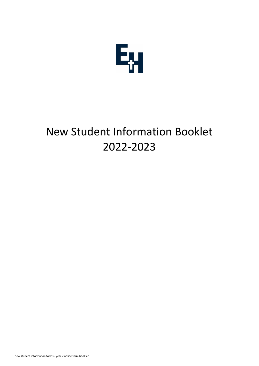

# New Student Information Booklet 2022-2023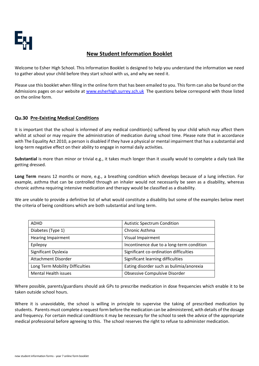

## **New Student Information Booklet**

Welcome to Esher High School. This Information Booklet is designed to help you understand the information we need to gather about your child before they start school with us, and why we need it.

Please use this booklet when filling in the online form that has been emailed to you. This form can also be found on the Admissions pages on our website at [www.esherhigh.surrey.sch.uk](http://www.esherhigh.surrey.sch.uk/) The questions below correspond with those listed on the online form.

## **Qu.30 Pre-Existing Medical Conditions**

It is important that the school is informed of any medical condition(s) suffered by your child which may affect them whilst at school or may require the administration of medication during school time. Please note that in accordance with The Equality Act 2010, a person is disabled if they have a physical or mental impairment that has a substantial and long-term negative effect on their ability to engage in normal daily activities.

**Substantial** is more than minor or trivial e.g., it takes much longer than it usually would to complete a daily task like getting dressed.

**Long Term** means 12 months or more, e.g., a breathing condition which develops because of a lung infection. For example, asthma that can be controlled through an inhaler would not necessarily be seen as a disability, whereas chronic asthma requiring intensive medication and therapy would be classified as a disability.

We are unable to provide a definitive list of what would constitute a disability but some of the examples below meet the criteria of being conditions which are both substantial and long term.

| <b>ADHD</b>                     | <b>Autistic Spectrum Condition</b>        |
|---------------------------------|-------------------------------------------|
| Diabetes (Type 1)               | Chronic Asthma                            |
| <b>Hearing Impairment</b>       | Visual Impairment                         |
| Epilepsy                        | Incontinence due to a long-term condition |
| Significant Dyslexia            | Significant co-ordination difficulties    |
| Attachment Disorder             | Significant learning difficulties         |
| Long Term Mobility Difficulties | Eating disorder such as bulimia/anorexia  |
| Mental Health issues            | <b>Obsessive Compulsive Disorder</b>      |

Where possible, parents/guardians should ask GPs to prescribe medication in dose frequencies which enable it to be taken outside school hours.

Where it is unavoidable, the school is willing in principle to supervise the taking of prescribed medication by students. Parents must complete a request form before the medication can be administered, with details of the dosage and frequency. For certain medical conditions it may be necessary for the school to seek the advice of the appropriate medical professional before agreeing to this. The school reserves the right to refuse to administer medication.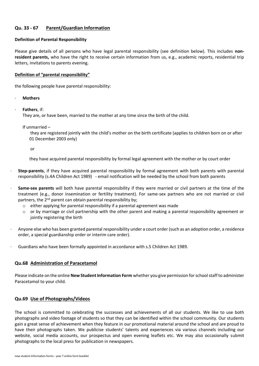## **Qu. 33 - 67 Parent/Guardian Information**

#### **Definition of Parental Responsibility**

Please give details of all persons who have legal parental responsibility (see definition below). This includes **nonresident parents,** who have the right to receive certain information from us, e.g., academic reports, residential trip letters, invitations to parents evening.

#### **Definition of "parental responsibility"**

the following people have parental responsibility:

- · **Mothers**
- · **Fathers**, if:

They are, or have been, married to the mother at any time since the birth of the child.

If unmarried –

they are registered jointly with the child's mother on the birth certificate (applies to children born on or after 01 December 2003 only)

or

they have acquired parental responsibility by formal legal agreement with the mother or by court order

- · **Step-parents**, if they have acquired parental responsibility by formal agreement with both parents with parental responsibility (s.4A Children Act 1989) - email notification will be needed by the school from both parents
- Same-sex parents will both have parental responsibility if they were married or civil partners at the time of the treatment (e.g., donor insemination or fertility treatment). For same-sex partners who are not married or civil partners, the 2<sup>nd</sup> parent can obtain parental responsibility by;
	- $\circ$  either applying for parental responsibility if a parental agreement was made
	- $\circ$  or by marriage or civil partnership with the other parent and making a parental responsibility agreement or jointly registering the birth
- · Anyone else who has been granted parental responsibility under a court order (such as an adoption order, a residence order, a special guardianship order or interim care order).
- · Guardians who have been formally appointed in accordance with s.5 Children Act 1989*.*

## **Qu.68 Administration of Paracetamol**

Please indicate on the online **New Student Information Form** whether you give permission for school staff to administer Paracetamol to your child.

## **Qu.69 Use of Photographs/Videos**

The school is committed to celebrating the successes and achievements of all our students. We like to use both photographs and video footage of students so that they can be identified within the school community. Our students gain a great sense of achievement when they feature in our promotional material around the school and are proud to have their photographs taken. We publicise students' talents and experiences via various channels including our website, social media accounts, our prospectus and open evening leaflets etc. We may also occasionally submit photographs to the local press for publication in newspapers.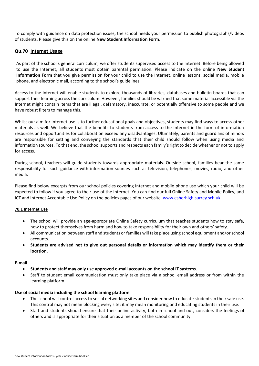To comply with guidance on data protection issues, the school needs your permission to publish photographs/videos of students. Please give this on the online **New Student Information Form**.

## **Qu.70 Internet Usage**

As part of the school's general curriculum, we offer students supervised access to the Internet. Before being allowed to use the Internet, all students must obtain parental permission. Please indicate on the online **New Student Information Form** that you give permission for your child to use the Internet, online lessons, social media, mobile phone, and electronic mail, according to the school's guidelines.

Access to the Internet will enable students to explore thousands of libraries, databases and bulletin boards that can support their learning across the curriculum. However, families should be warned that some material accessible via the Internet might contain items that are illegal, defamatory, inaccurate, or potentially offensive to some people and we have robust filters to manage this.

Whilst our aim for Internet use is to further educational goals and objectives, students may find ways to access other materials as well. We believe that the benefits to students from access to the Internet in the form of information resources and opportunities for collaboration exceed any disadvantages. Ultimately, parents and guardians of minors are responsible for setting and conveying the standards that their child should follow when using media and information sources. To that end, the school supports and respects each family's right to decide whether or not to apply for access.

During school, teachers will guide students towards appropriate materials. Outside school, families bear the same responsibility for such guidance with information sources such as television, telephones, movies, radio, and other media.

Please find below excerpts from our school policies covering Internet and mobile phone use which your child will be expected to follow if you agree to their use of the Internet. You can find our full Online Safety and Mobile Policy, and ICT and Internet Acceptable Use Policy on the policies pages of our website [www.esherhigh.surrey.sch.uk](http://www.esherhigh.surrey.sch.uk/)

#### **70.1 Internet Use**

- The school will provide an age-appropriate Online Safety curriculum that teaches students how to stay safe, how to protect themselves from harm and how to take responsibility for their own and others' safety.
- All communication between staff and students or families will take place using school equipment and/or school accounts.
- **Students are advised not to give out personal details or information which may identify them or their location.**

#### **E-mail**

- **Students and staff may only use approved e-mail accounts on the school IT systems.**
- Staff to student email communication must only take place via a school email address or from within the learning platform.

#### **Use of social media including the school learning platform**

- The school will control access to social networking sites and consider how to educate students in their safe use. This control may not mean blocking every site; it may mean monitoring and educating students in their use.
- Staff and students should ensure that their online activity, both in school and out, considers the feelings of others and is appropriate for their situation as a member of the school community.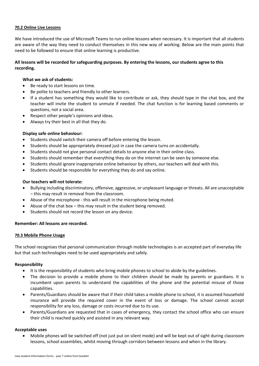#### **70.2 Online Live Lessons**

We have introduced the use of Microsoft Teams to run online lessons when necessary. It is important that all students are aware of the way they need to conduct themselves in this new way of working. Below are the main points that need to be followed to ensure that online learning is productive.

## **All lessons will be recorded for safeguarding purposes. By entering the lessons, our students agree to this recording.**

#### **What we ask of students:**

- Be ready to start lessons on time.
- Be polite to teachers and friendly to other learners.
- If a student has something they would like to contribute or ask, they should type in the chat box, and the teacher will invite the student to unmute if needed. The chat function is for learning based comments or questions, not a social area.
- Respect other people's opinions and ideas.
- Always try their best in all that they do.

#### **Display safe online behaviour:**

- Students should switch their camera off before entering the lesson.
- Students should be appropriately dressed just in case the camera turns on accidentally.
- Students should not give personal contact details to anyone else in their online class.
- Students should remember that everything they do on the internet can be seen by someone else.
- Students should ignore inappropriate online behaviour by others, our teachers will deal with this.
- Students should be responsible for everything they do and say online.

#### **Our teachers will not tolerate:**

- Bullying including discriminatory, offensive, aggressive, or unpleasant language or threats. All are unacceptable – this may result in removal from the classroom.
- Abuse of the microphone this will result in the microphone being muted.
- Abuse of the chat box this may result in the student being removed.
- Students should not record the lesson on any device.

#### **Remember: All lessons are recorded.**

#### **70.3 Mobile Phone Usage**

The school recognises that personal communication through mobile technologies is an accepted part of everyday life but that such technologies need to be used appropriately and safely.

#### **Responsibility**

- It is the responsibility of students who bring mobile phones to school to abide by the guidelines.
- The decision to provide a mobile phone to their children should be made by parents or guardians. It is incumbent upon parents to understand the capabilities of the phone and the potential misuse of those capabilities.
- Parents/Guardians should be aware that if their child takes a mobile phone to school, it is assumed household insurance will provide the required cover in the event of loss or damage. The school cannot accept responsibility for any loss, damage or costs incurred due to its use.
- Parents/Guardians are requested that in cases of emergency, they contact the school office who can ensure their child is reached quickly and assisted in any relevant way.

#### **Acceptable uses**

• Mobile phones will be switched off (not just put on silent mode) and will be kept out of sight during classroom lessons, school assemblies, whilst moving through corridors between lessons and when in the library.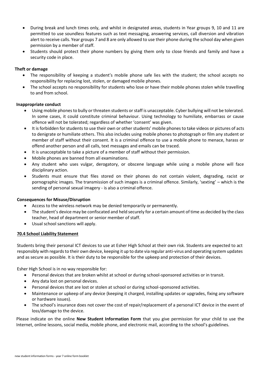- During break and lunch times only, and whilst in designated areas, students in Year groups 9, 10 and 11 are permitted to use soundless features such as text messaging, answering services, call diversion and vibration alert to receive calls. Year groups 7 and 8 are only allowed to use their phone during the school day when given permission by a member of staff.
- Students should protect their phone numbers by giving them only to close friends and family and have a security code in place.

#### **Theft or damage**

- The responsibility of keeping a student's mobile phone safe lies with the student; the school accepts no responsibility for replacing lost, stolen, or damaged mobile phones.
- The school accepts no responsibility for students who lose or have their mobile phones stolen while travelling to and from school.

#### **Inappropriate conduct**

- Using mobile phones to bully or threaten students or staff is unacceptable. Cyber bullying will not be tolerated. In some cases, it could constitute criminal behaviour. Using technology to humiliate, embarrass or cause offence will not be tolerated; regardless of whether 'consent' was given.
- It is forbidden for students to use their own or other students' mobile phones to take videos or pictures of acts to denigrate or humiliate others. This also includes using mobile phones to photograph or film any student or member of staff without their consent. It is a criminal offence to use a mobile phone to menace, harass or offend another person and all calls, text messages and emails can be traced.
- It is unacceptable to take a picture of a member of staff without their permission.
- Mobile phones are banned from all examinations.
- Any student who uses vulgar, derogatory, or obscene language while using a mobile phone will face disciplinary action.
- Students must ensure that files stored on their phones do not contain violent, degrading, racist or pornographic images. The transmission of such images is a criminal offence. Similarly, 'sexting' – which is the sending of personal sexual imagery - is also a criminal offence.

#### **Consequences for Misuse/Disruption**

- Access to the wireless network may be denied temporarily or permanently.
- The student's device may be confiscated and held securely for a certain amount of time as decided by the class teacher, head of department or senior member of staff.
- Usual school sanctions will apply.

## **70.4 School Liability Statement**

Students bring their personal ICT devices to use at Esher High School at their own risk. Students are expected to act responsibly with regards to their own device, keeping it up to date via regular anti-virus and operating system updates and as secure as possible. It is their duty to be responsible for the upkeep and protection of their devices.

Esher High School is in no way responsible for:

- Personal devices that are broken whilst at school or during school-sponsored activities or in transit.
- Any data lost on personal devices.
- Personal devices that are lost or stolen at school or during school-sponsored activities.
- Maintenance or upkeep of any device (keeping it charged, installing updates or upgrades, fixing any software or hardware issues).
- The school's insurance does not cover the cost of repair/replacement of a personal ICT device in the event of loss/damage to the device.

Please indicate on the online **New Student Information Form** that you give permission for your child to use the Internet, online lessons, social media, mobile phone, and electronic mail, according to the school's guidelines.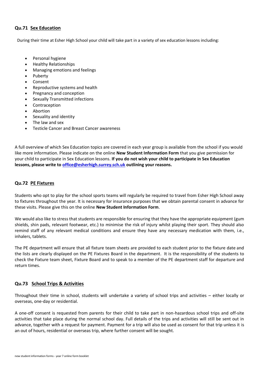## **Qu.71 Sex Education**

During their time at Esher High School your child will take part in a variety of sex education lessons including:

- Personal hygiene
- Healthy Relationships
- Managing emotions and feelings
- Puberty
- Consent
- Reproductive systems and health
- Pregnancy and conception
- Sexually Transmitted infections
- Contraception
- Abortion
- Sexuality and identity
- The law and sex
- Testicle Cancer and Breast Cancer awareness

A full overview of which Sex Education topics are covered in each year group is available from the school if you would like more information. Please indicate on the online **New Student Information Form** that you give permission for your child to participate in Sex Education lessons. **If you do not wish your child to participate in Sex Education lessons, please write to [office@esherhigh.surrey.sch.uk](mailto:office@esherhigh.surrey.sch.uk) outlining your reasons.**

## **Qu.72 PE Fixtures**

Students who opt to play for the school sports teams will regularly be required to travel from Esher High School away to fixtures throughout the year. It is necessary for insurance purposes that we obtain parental consent in advance for these visits. Please give this on the online **New Student Information Form**.

We would also like to stress that students are responsible for ensuring that they have the appropriate equipment (gum shields, shin pads, relevant footwear, etc.) to minimise the risk of injury whilst playing their sport. They should also remind staff of any relevant medical conditions and ensure they have any necessary medication with them, i.e., inhalers, tablets.

The PE department will ensure that all fixture team sheets are provided to each student prior to the fixture date and the lists are clearly displayed on the PE Fixtures Board in the department. It is the responsibility of the students to check the Fixture team sheet, Fixture Board and to speak to a member of the PE department staff for departure and return times.

## **Qu.73 School Trips & Activities**

Throughout their time in school, students will undertake a variety of school trips and activities – either locally or overseas, one-day or residential.

A one-off consent is requested from parents for their child to take part in non-hazardous school trips and off-site activities that take place during the normal school day. Full details of the trips and activities will still be sent out in advance, together with a request for payment. Payment for a trip will also be used as consent for that trip unless it is an out of hours, residential or overseas trip, where further consent will be sought.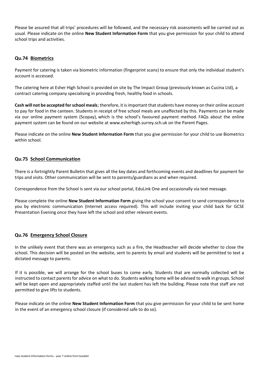Please be assured that all trips' procedures will be followed, and the necessary risk assessments will be carried out as usual. Please indicate on the online **New Student Information Form** that you give permission for your child to attend school trips and activities.

## **Qu.74 Biometrics**

Payment for catering is taken via biometric information (fingerprint scans) to ensure that only the individual student's account is accessed.

The catering here at Esher High School is provided on site by The Impact Group (previously known as Cucina Ltd), a contract catering company specialising in providing fresh, healthy food in schools.

**Cash will not be accepted for school meals**; therefore, it is important that students have money on their online account to pay for food in the canteen. Students in receipt of free school meals are unaffected by this. Payments can be made via our online payment system (Scopay), which is the school's favoured payment method. FAQs about the online payment system can be found on our website at [www.esherhigh.surrey.sch.uk](http://www.esherhigh.surrey.sch.uk/) on the Parent Pages.

Please indicate on the online **New Student Information Form** that you give permission for your child to use Biometrics within school.

## **Qu.75 School Communication**

There is a fortnightly Parent Bulletin that gives all the key dates and forthcoming events and deadlines for payment for trips and visits. Other communication will be sent to parents/guardians as and when required.

Correspondence from the School is sent via our school portal, EduLink One and occasionally via text message.

Please complete the online **New Student Information Form** giving the school your consent to send correspondence to you by electronic communication (Internet access required). This will include inviting your child back for GCSE Presentation Evening once they have left the school and other relevant events.

## **Qu.76 Emergency School Closure**

In the unlikely event that there was an emergency such as a fire, the Headteacher will decide whether to close the school. This decision will be posted on the website, sent to parents by email and students will be permitted to text a dictated message to parents.

If it is possible, we will arrange for the school buses to come early. Students that are normally collected will be instructed to contact parents for advice on what to do. Students walking home will be advised to walk in groups. School will be kept open and appropriately staffed until the last student has left the building. Please note that staff are not permitted to give lifts to students.

Please indicate on the online **New Student Information Form** that you give permission for your child to be sent home in the event of an emergency school closure (if considered safe to do so).